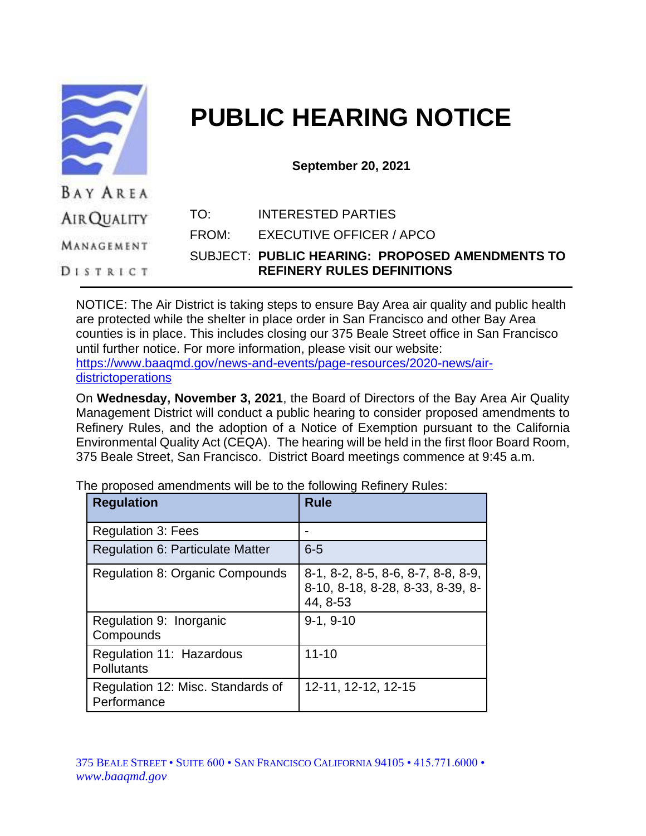|                    | <b>PUBLIC HEARING NOTICE</b> |                                                                                      |  |
|--------------------|------------------------------|--------------------------------------------------------------------------------------|--|
|                    | <b>September 20, 2021</b>    |                                                                                      |  |
| <b>BAY AREA</b>    |                              |                                                                                      |  |
| <b>AIR QUALITY</b> | TO:                          | <b>INTERESTED PARTIES</b>                                                            |  |
| MANAGEMENT         | FROM:                        | <b>EXECUTIVE OFFICER / APCO</b>                                                      |  |
|                    |                              | SUBJECT: PUBLIC HEARING: PROPOSED AMENDMENTS TO<br><b>REFINERY RULES DEFINITIONS</b> |  |

NOTICE: The Air District is taking steps to ensure Bay Area air quality and public health are protected while the shelter in place order in San Francisco and other Bay Area counties is in place. This includes closing our 375 Beale Street office in San Francisco until further notice. For more information, please visit our website: [https://www.baaqmd.gov/news-and-events/page-resources/2020-news/air](https://www.baaqmd.gov/news-and-events/page-resources/2020-news/air-districtoperations)[districtoperations](https://www.baaqmd.gov/news-and-events/page-resources/2020-news/air-districtoperations)

On **Wednesday, November 3, 2021**, the Board of Directors of the Bay Area Air Quality Management District will conduct a public hearing to consider proposed amendments to Refinery Rules, and the adoption of a Notice of Exemption pursuant to the California Environmental Quality Act (CEQA). The hearing will be held in the first floor Board Room, 375 Beale Street, San Francisco. District Board meetings commence at 9:45 a.m.

The proposed amendments will be to the following Refinery Rules:

| <b>Regulation</b>                                | <b>Rule</b>                                                                        |
|--------------------------------------------------|------------------------------------------------------------------------------------|
| <b>Regulation 3: Fees</b>                        |                                                                                    |
| <b>Regulation 6: Particulate Matter</b>          | $6-5$                                                                              |
| Regulation 8: Organic Compounds                  | 8-1, 8-2, 8-5, 8-6, 8-7, 8-8, 8-9,<br>8-10, 8-18, 8-28, 8-33, 8-39, 8-<br>44, 8-53 |
| Regulation 9: Inorganic<br>Compounds             | $9-1, 9-10$                                                                        |
| Regulation 11: Hazardous<br><b>Pollutants</b>    | $11 - 10$                                                                          |
| Regulation 12: Misc. Standards of<br>Performance | 12-11, 12-12, 12-15                                                                |